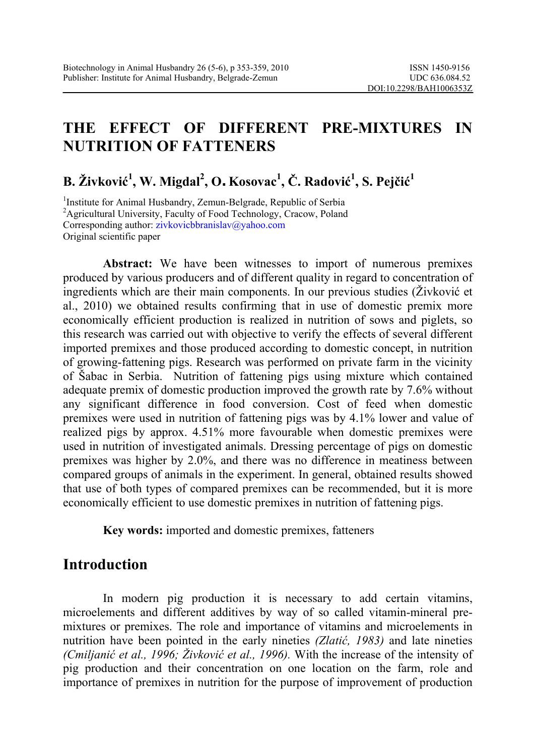# **THE EFFECT OF DIFFERENT PRE-MIXTURES IN NUTRITION OF FATTENERS**

## **B. Živković 1 , W. Migdal<sup>2</sup> , O. Kosovac<sup>1</sup> , Č. Radović 1 , S. Pejčić 1**

<sup>1</sup>Institute for Animal Husbandry, Zemun-Belgrade, Republic of Serbia <sup>2</sup>Agricultural University, Faculty of Food Technology, Cracow, Poland Corresponding author: zivkovicbbranislav@yahoo.com Original scientific paper

**Abstract:** We have been witnesses to import of numerous premixes produced by various producers and of different quality in regard to concentration of ingredients which are their main components. In our previous studies (Živković et al., 2010) we obtained results confirming that in use of domestic premix more economically efficient production is realized in nutrition of sows and piglets, so this research was carried out with objective to verify the effects of several different imported premixes and those produced according to domestic concept, in nutrition of growing-fattening pigs. Research was performed on private farm in the vicinity of Šabac in Serbia. Nutrition of fattening pigs using mixture which contained adequate premix of domestic production improved the growth rate by 7.6% without any significant difference in food conversion. Cost of feed when domestic premixes were used in nutrition of fattening pigs was by 4.1% lower and value of realized pigs by approx. 4.51% more favourable when domestic premixes were used in nutrition of investigated animals. Dressing percentage of pigs on domestic premixes was higher by 2.0%, and there was no difference in meatiness between compared groups of animals in the experiment. In general, obtained results showed that use of both types of compared premixes can be recommended, but it is more economically efficient to use domestic premixes in nutrition of fattening pigs.

**Key words:** imported and domestic premixes, fatteners

## **Introduction**

In modern pig production it is necessary to add certain vitamins, microelements and different additives by way of so called vitamin-mineral premixtures or premixes. The role and importance of vitamins and microelements in nutrition have been pointed in the early nineties *(Zlatić, 1983)* and late nineties *(Cmiljanić et al., 1996; Živković et al., 1996).* With the increase of the intensity of pig production and their concentration on one location on the farm, role and importance of premixes in nutrition for the purpose of improvement of production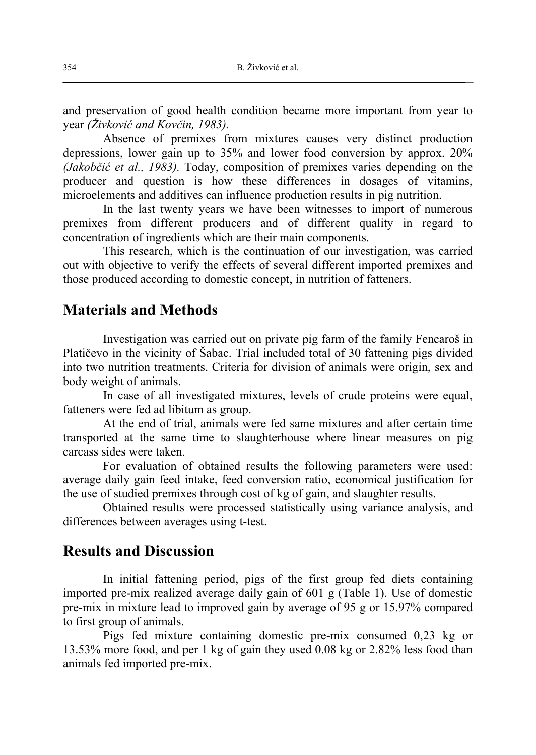and preservation of good health condition became more important from year to year *(Živković and Kovčin, 1983).*

Absence of premixes from mixtures causes very distinct production depressions, lower gain up to 35% and lower food conversion by approx. 20% *(Jakobčić et al., 1983).* Today, composition of premixes varies depending on the producer and question is how these differences in dosages of vitamins, microelements and additives can influence production results in pig nutrition.

In the last twenty years we have been witnesses to import of numerous premixes from different producers and of different quality in regard to concentration of ingredients which are their main components.

This research, which is the continuation of our investigation, was carried out with objective to verify the effects of several different imported premixes and those produced according to domestic concept, in nutrition of fatteners.

#### **Materials and Methods**

Investigation was carried out on private pig farm of the family Fencaroš in Platičevo in the vicinity of Šabac. Trial included total of 30 fattening pigs divided into two nutrition treatments. Criteria for division of animals were origin, sex and body weight of animals.

In case of all investigated mixtures, levels of crude proteins were equal, fatteners were fed ad libitum as group.

At the end of trial, animals were fed same mixtures and after certain time transported at the same time to slaughterhouse where linear measures on pig carcass sides were taken.

For evaluation of obtained results the following parameters were used: average daily gain feed intake, feed conversion ratio, economical justification for the use of studied premixes through cost of kg of gain, and slaughter results.

Obtained results were processed statistically using variance analysis, and differences between averages using t-test.

### **Results and Discussion**

In initial fattening period, pigs of the first group fed diets containing imported pre-mix realized average daily gain of 601 g (Table 1). Use of domestic pre-mix in mixture lead to improved gain by average of 95 g or 15.97% compared to first group of animals.

 Pigs fed mixture containing domestic pre-mix consumed 0,23 kg or 13.53% more food, and per 1 kg of gain they used 0.08 kg or 2.82% less food than animals fed imported pre-mix.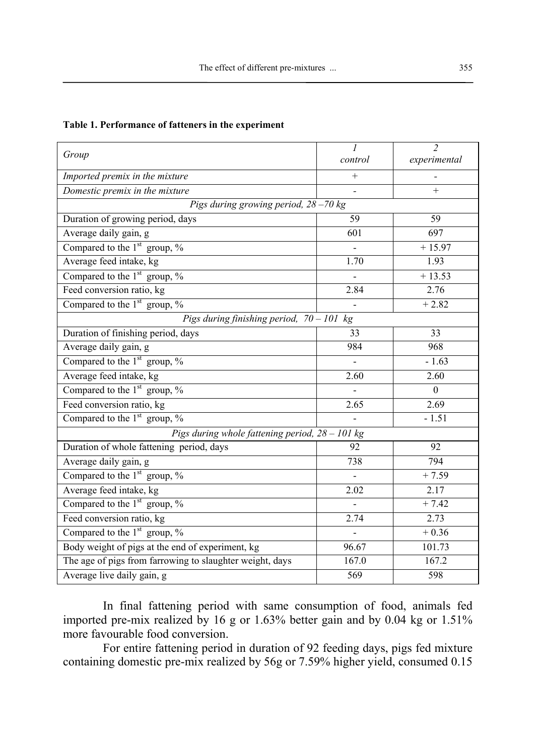| Table 1. Performance of fatteners in the experiment |  |  |  |
|-----------------------------------------------------|--|--|--|
|-----------------------------------------------------|--|--|--|

| Group                                                    | $\mathcal{I}$  | $\overline{2}$     |  |  |  |
|----------------------------------------------------------|----------------|--------------------|--|--|--|
|                                                          | control        | experimental       |  |  |  |
| Imported premix in the mixture                           | $^{+}$         |                    |  |  |  |
| Domestic premix in the mixture                           |                | $+$                |  |  |  |
| Pigs during growing period, 28-70 kg                     |                |                    |  |  |  |
| Duration of growing period, days                         | 59             | 59                 |  |  |  |
| Average daily gain, g                                    | 601            | 697                |  |  |  |
| Compared to the $1st$ group, $\%$                        |                | $+15.97$           |  |  |  |
| Average feed intake, kg                                  | 1.70           | 1.93               |  |  |  |
| Compared to the $1st$ group, %                           |                | $+13.53$           |  |  |  |
| Feed conversion ratio, kg                                | 2.84           | 2.76               |  |  |  |
| Compared to the $1st$ group, %                           |                | $+2.82$            |  |  |  |
| Pigs during finishing period, $70 - 101$ kg              |                |                    |  |  |  |
| Duration of finishing period, days                       | 33             | 33                 |  |  |  |
| Average daily gain, g                                    | 984            | 968                |  |  |  |
| Compared to the $1st$ group, %                           | $\blacksquare$ | $-1.63$            |  |  |  |
| Average feed intake, kg                                  | 2.60           | 2.60               |  |  |  |
| Compared to the $1st$ group, $\%$                        |                | $\theta$           |  |  |  |
| Feed conversion ratio, kg                                | 2.65           | 2.69               |  |  |  |
| Compared to the $1st$ group, %                           |                | $-1.51$            |  |  |  |
| Pigs during whole fattening period, $28 - 101$ kg        |                |                    |  |  |  |
| Duration of whole fattening period, days                 | 92             | 92                 |  |  |  |
| Average daily gain, g                                    | 738            | 794                |  |  |  |
| Compared to the $1st$ group, $%$                         | $\overline{a}$ | $+7.59$            |  |  |  |
| Average feed intake, kg                                  | 2.02           | 2.17               |  |  |  |
| Compared to the $1st$ group, $\%$                        | $\blacksquare$ | $\frac{1}{4}$ 7.42 |  |  |  |
| Feed conversion ratio, kg                                | 2.74           | 2.73               |  |  |  |
| Compared to the $1st$ group, $\%$                        | $\overline{a}$ | $+0.36$            |  |  |  |
| Body weight of pigs at the end of experiment, kg         | 96.67          | 101.73             |  |  |  |
| The age of pigs from farrowing to slaughter weight, days | 167.0          | 167.2              |  |  |  |
| Average live daily gain, g                               | 569            | 598                |  |  |  |

In final fattening period with same consumption of food, animals fed imported pre-mix realized by 16 g or 1.63% better gain and by 0.04 kg or 1.51% more favourable food conversion.

 For entire fattening period in duration of 92 feeding days, pigs fed mixture containing domestic pre-mix realized by 56g or 7.59% higher yield, consumed 0.15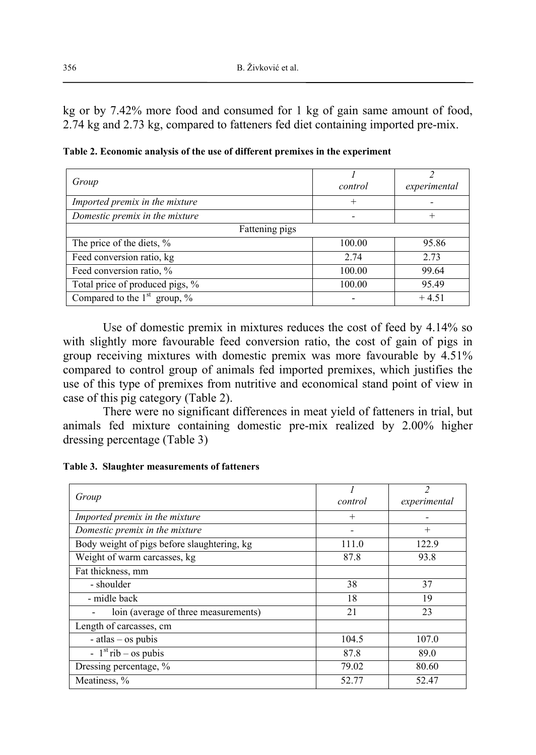kg or by 7.42% more food and consumed for 1 kg of gain same amount of food, 2.74 kg and 2.73 kg, compared to fatteners fed diet containing imported pre-mix.

| Group                             | control | experimental |
|-----------------------------------|---------|--------------|
| Imported premix in the mixture    | ┿       |              |
| Domestic premix in the mixture    |         | $^{+}$       |
| Fattening pigs                    |         |              |
| The price of the diets, %         | 100.00  | 95.86        |
| Feed conversion ratio, kg         | 2.74    | 2.73         |
| Feed conversion ratio, %          | 100.00  | 99.64        |
| Total price of produced pigs, %   | 100.00  | 95.49        |
| Compared to the $1st$ group, $\%$ |         | $+4.51$      |

**Table 2. Economic analysis of the use of different premixes in the experiment**

Use of domestic premix in mixtures reduces the cost of feed by 4.14% so with slightly more favourable feed conversion ratio, the cost of gain of pigs in group receiving mixtures with domestic premix was more favourable by 4.51% compared to control group of animals fed imported premixes, which justifies the use of this type of premixes from nutritive and economical stand point of view in case of this pig category (Table 2).

There were no significant differences in meat yield of fatteners in trial, but animals fed mixture containing domestic pre-mix realized by 2.00% higher dressing percentage (Table 3)

**Table 3. Slaughter measurements of fatteners** 

| Group                                       | control | $\overline{\mathcal{L}}$<br>experimental |
|---------------------------------------------|---------|------------------------------------------|
| Imported premix in the mixture              | $^{+}$  |                                          |
| Domestic premix in the mixture              |         | $^{+}$                                   |
| Body weight of pigs before slaughtering, kg | 111.0   | 122.9                                    |
| Weight of warm carcasses, kg                | 87.8    | 93.8                                     |
| Fat thickness, mm                           |         |                                          |
| - shoulder                                  | 38      | 37                                       |
| - midle back                                | 18      | 19                                       |
| loin (average of three measurements)        | 21      | 23                                       |
| Length of carcasses, cm                     |         |                                          |
| $-$ atlas $-$ os pubis                      | 104.5   | 107.0                                    |
| - $1st$ rib – os pubis                      | 87.8    | 89.0                                     |
| Dressing percentage, %                      | 79.02   | 80.60                                    |
| Meatiness, %                                | 52.77   | 52.47                                    |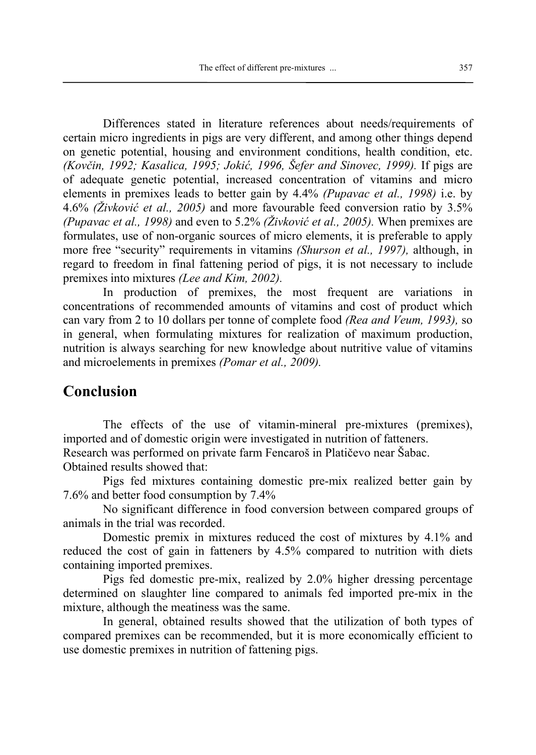Differences stated in literature references about needs/requirements of certain micro ingredients in pigs are very different, and among other things depend on genetic potential, housing and environment conditions, health condition, etc. *(Kovčin, 1992; Kasalica, 1995; Jokić, 1996, Šefer and Sinovec, 1999).* If pigs are of adequate genetic potential, increased concentration of vitamins and micro elements in premixes leads to better gain by 4.4% *(Pupavac et al., 1998)* i.e. by 4.6% *(Živković et al., 2005)* and more favourable feed conversion ratio by 3.5% *(Pupavac et al., 1998)* and even to 5.2% *(Živković et al., 2005).* When premixes are formulates, use of non-organic sources of micro elements, it is preferable to apply more free "security" requirements in vitamins *(Shurson et al., 1997),* although, in regard to freedom in final fattening period of pigs, it is not necessary to include premixes into mixtures *(Lee and Kim, 2002).*

In production of premixes, the most frequent are variations in concentrations of recommended amounts of vitamins and cost of product which can vary from 2 to 10 dollars per tonne of complete food *(Rea and Veum, 1993),* so in general, when formulating mixtures for realization of maximum production, nutrition is always searching for new knowledge about nutritive value of vitamins and microelements in premixes *(Pomar et al., 2009).*

#### **Conclusion**

The effects of the use of vitamin-mineral pre-mixtures (premixes), imported and of domestic origin were investigated in nutrition of fatteners. Research was performed on private farm Fencaroš in Platičevo near Šabac. Obtained results showed that:

Pigs fed mixtures containing domestic pre-mix realized better gain by 7.6% and better food consumption by 7.4%

No significant difference in food conversion between compared groups of animals in the trial was recorded.

Domestic premix in mixtures reduced the cost of mixtures by 4.1% and reduced the cost of gain in fatteners by 4.5% compared to nutrition with diets containing imported premixes.

Pigs fed domestic pre-mix, realized by 2.0% higher dressing percentage determined on slaughter line compared to animals fed imported pre-mix in the mixture, although the meatiness was the same.

In general, obtained results showed that the utilization of both types of compared premixes can be recommended, but it is more economically efficient to use domestic premixes in nutrition of fattening pigs.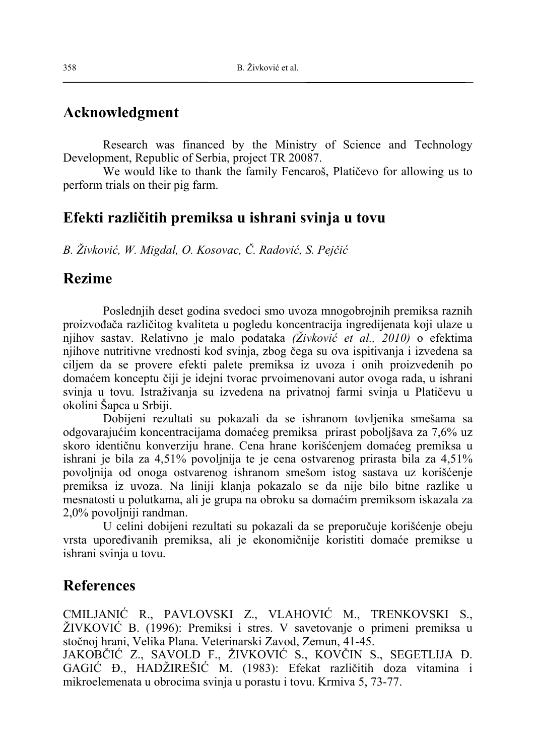## **Acknowledgment**

Research was financed by the Ministry of Science and Technology Development, Republic of Serbia, project TR 20087.

We would like to thank the family Fencaroš, Platičevo for allowing us to perform trials on their pig farm.

## **Efekti različitih premiksa u ishrani svinja u tovu**

*B. Živković, W. Migdal, O. Kosovac, Č. Radović, S. Pejčić*

#### **Rezime**

Poslednjih deset godina svedoci smo uvoza mnogobrojnih premiksa raznih proizvođača različitog kvaliteta u pogledu koncentracija ingredijenata koji ulaze u njihov sastav. Relativno je malo podataka *(Živković et al., 2010)* o efektima njihove nutritivne vrednosti kod svinja, zbog čega su ova ispitivanja i izvedena sa ciljem da se provere efekti palete premiksa iz uvoza i onih proizvedenih po domaćem konceptu čiji je idejni tvorac prvoimenovani autor ovoga rada, u ishrani svinja u tovu. Istraživanja su izvedena na privatnoj farmi svinja u Platičevu u okolini Šapca u Srbiji.

Dobijeni rezultati su pokazali da se ishranom tovljenika smešama sa odgovarajućim koncentracijama domaćeg premiksa prirast poboljšava za 7,6% uz skoro identičnu konverziju hrane. Cena hrane korišćenjem domaćeg premiksa u ishrani je bila za 4,51% povoljnija te je cena ostvarenog prirasta bila za 4,51% povoljnija od onoga ostvarenog ishranom smešom istog sastava uz korišćenje premiksa iz uvoza. Na liniji klanja pokazalo se da nije bilo bitne razlike u mesnatosti u polutkama, ali je grupa na obroku sa domaćim premiksom iskazala za 2,0% povoljniji randman.

U celini dobijeni rezultati su pokazali da se preporučuje korišćenje obeju vrsta upoređivanih premiksa, ali je ekonomičnije koristiti domaće premikse u ishrani svinja u tovu.

#### **References**

CMILJANIĆ R., PAVLOVSKI Z., VLAHOVIĆ M., TRENKOVSKI S., ŽIVKOVIĆ B. (1996): Premiksi i stres. V savetovanje o primeni premiksa u stočnoj hrani, Velika Plana. Veterinarski Zavod, Zemun, 41-45. JAKOBČIĆ Z., SAVOLD F., ŽIVKOVIĆ S., KOVČIN S., SEGETLIJA Đ.

GAGIĆ Đ., HADŽIREŠIĆ M. (1983): Efekat različitih doza vitamina i mikroelemenata u obrocima svinja u porastu i tovu. Krmiva 5, 73-77.